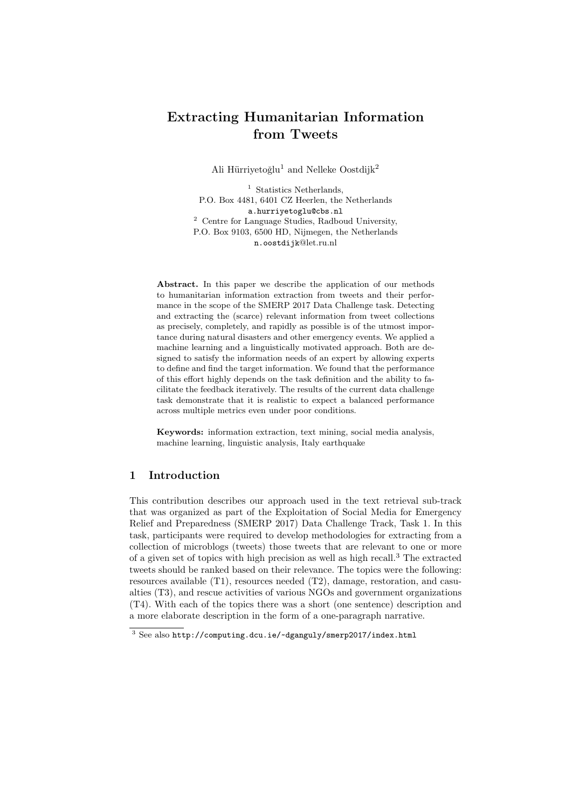# Extracting Humanitarian Information from Tweets

Ali Hürriyetoğlu<sup>1</sup> and Nelleke Oostdijk<sup>2</sup>

<sup>1</sup> Statistics Netherlands, P.O. Box 4481, 6401 CZ Heerlen, the Netherlands a.hurriyetoglu@cbs.nl <sup>2</sup> Centre for Language Studies, Radboud University, P.O. Box 9103, 6500 HD, Nijmegen, the Netherlands n.oostdijk@let.ru.nl

Abstract. In this paper we describe the application of our methods to humanitarian information extraction from tweets and their performance in the scope of the SMERP 2017 Data Challenge task. Detecting and extracting the (scarce) relevant information from tweet collections as precisely, completely, and rapidly as possible is of the utmost importance during natural disasters and other emergency events. We applied a machine learning and a linguistically motivated approach. Both are designed to satisfy the information needs of an expert by allowing experts to define and find the target information. We found that the performance of this effort highly depends on the task definition and the ability to facilitate the feedback iteratively. The results of the current data challenge task demonstrate that it is realistic to expect a balanced performance across multiple metrics even under poor conditions.

Keywords: information extraction, text mining, social media analysis, machine learning, linguistic analysis, Italy earthquake

# 1 Introduction

This contribution describes our approach used in the text retrieval sub-track that was organized as part of the Exploitation of Social Media for Emergency Relief and Preparedness (SMERP 2017) Data Challenge Track, Task 1. In this task, participants were required to develop methodologies for extracting from a collection of microblogs (tweets) those tweets that are relevant to one or more of a given set of topics with high precision as well as high recall.<sup>3</sup> The extracted tweets should be ranked based on their relevance. The topics were the following: resources available (T1), resources needed (T2), damage, restoration, and casualties (T3), and rescue activities of various NGOs and government organizations (T4). With each of the topics there was a short (one sentence) description and a more elaborate description in the form of a one-paragraph narrative.

<sup>3</sup> See also http://computing.dcu.ie/~dganguly/smerp2017/index.html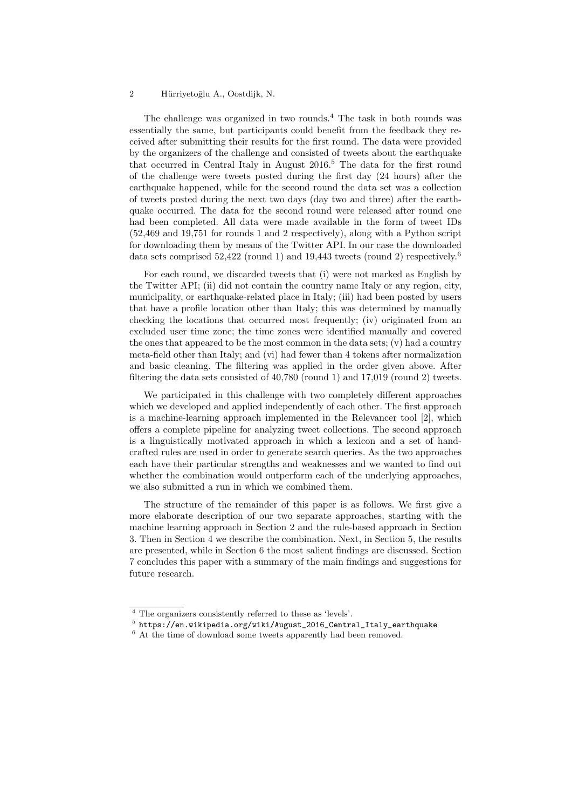The challenge was organized in two rounds.<sup>4</sup> The task in both rounds was essentially the same, but participants could benefit from the feedback they received after submitting their results for the first round. The data were provided by the organizers of the challenge and consisted of tweets about the earthquake that occurred in Central Italy in August  $2016<sup>5</sup>$  The data for the first round of the challenge were tweets posted during the first day (24 hours) after the earthquake happened, while for the second round the data set was a collection of tweets posted during the next two days (day two and three) after the earthquake occurred. The data for the second round were released after round one had been completed. All data were made available in the form of tweet IDs (52,469 and 19,751 for rounds 1 and 2 respectively), along with a Python script for downloading them by means of the Twitter API. In our case the downloaded data sets comprised  $52,422$  (round 1) and  $19,443$  tweets (round 2) respectively.<sup>6</sup>

For each round, we discarded tweets that (i) were not marked as English by the Twitter API; (ii) did not contain the country name Italy or any region, city, municipality, or earthquake-related place in Italy; (iii) had been posted by users that have a profile location other than Italy; this was determined by manually checking the locations that occurred most frequently; (iv) originated from an excluded user time zone; the time zones were identified manually and covered the ones that appeared to be the most common in the data sets; (v) had a country meta-field other than Italy; and (vi) had fewer than 4 tokens after normalization and basic cleaning. The filtering was applied in the order given above. After filtering the data sets consisted of 40,780 (round 1) and 17,019 (round 2) tweets.

We participated in this challenge with two completely different approaches which we developed and applied independently of each other. The first approach is a machine-learning approach implemented in the Relevancer tool [2], which offers a complete pipeline for analyzing tweet collections. The second approach is a linguistically motivated approach in which a lexicon and a set of handcrafted rules are used in order to generate search queries. As the two approaches each have their particular strengths and weaknesses and we wanted to find out whether the combination would outperform each of the underlying approaches, we also submitted a run in which we combined them.

The structure of the remainder of this paper is as follows. We first give a more elaborate description of our two separate approaches, starting with the machine learning approach in Section 2 and the rule-based approach in Section 3. Then in Section 4 we describe the combination. Next, in Section 5, the results are presented, while in Section 6 the most salient findings are discussed. Section 7 concludes this paper with a summary of the main findings and suggestions for future research.

<sup>4</sup> The organizers consistently referred to these as 'levels'.

 $^5$  https://en.wikipedia.org/wiki/August\_2016\_Central\_Italy\_earthquake

 $^6$  At the time of download some tweets apparently had been removed.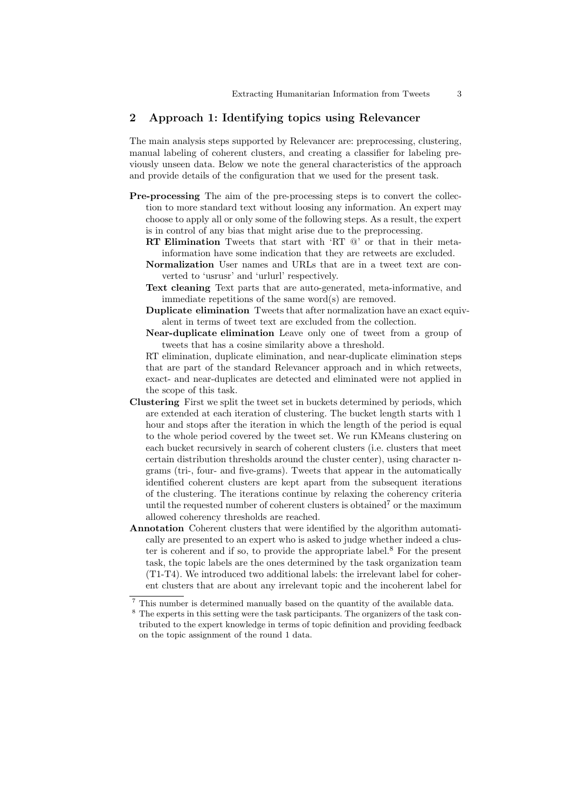# 2 Approach 1: Identifying topics using Relevancer

The main analysis steps supported by Relevancer are: preprocessing, clustering, manual labeling of coherent clusters, and creating a classifier for labeling previously unseen data. Below we note the general characteristics of the approach and provide details of the configuration that we used for the present task.

- Pre-processing The aim of the pre-processing steps is to convert the collection to more standard text without loosing any information. An expert may choose to apply all or only some of the following steps. As a result, the expert is in control of any bias that might arise due to the preprocessing.
	- RT Elimination Tweets that start with 'RT @' or that in their metainformation have some indication that they are retweets are excluded.
	- Normalization User names and URLs that are in a tweet text are converted to 'usrusr' and 'urlurl' respectively.
	- Text cleaning Text parts that are auto-generated, meta-informative, and immediate repetitions of the same word(s) are removed.
	- Duplicate elimination Tweets that after normalization have an exact equivalent in terms of tweet text are excluded from the collection.
	- Near-duplicate elimination Leave only one of tweet from a group of tweets that has a cosine similarity above a threshold.

RT elimination, duplicate elimination, and near-duplicate elimination steps that are part of the standard Relevancer approach and in which retweets, exact- and near-duplicates are detected and eliminated were not applied in the scope of this task.

- Clustering First we split the tweet set in buckets determined by periods, which are extended at each iteration of clustering. The bucket length starts with 1 hour and stops after the iteration in which the length of the period is equal to the whole period covered by the tweet set. We run KMeans clustering on each bucket recursively in search of coherent clusters (i.e. clusters that meet certain distribution thresholds around the cluster center), using character ngrams (tri-, four- and five-grams). Tweets that appear in the automatically identified coherent clusters are kept apart from the subsequent iterations of the clustering. The iterations continue by relaxing the coherency criteria until the requested number of coherent clusters is obtained<sup>7</sup> or the maximum allowed coherency thresholds are reached.
- Annotation Coherent clusters that were identified by the algorithm automatically are presented to an expert who is asked to judge whether indeed a cluster is coherent and if so, to provide the appropriate label. $8$  For the present task, the topic labels are the ones determined by the task organization team (T1-T4). We introduced two additional labels: the irrelevant label for coherent clusters that are about any irrelevant topic and the incoherent label for

<sup>7</sup> This number is determined manually based on the quantity of the available data.

<sup>8</sup> The experts in this setting were the task participants. The organizers of the task contributed to the expert knowledge in terms of topic definition and providing feedback on the topic assignment of the round 1 data.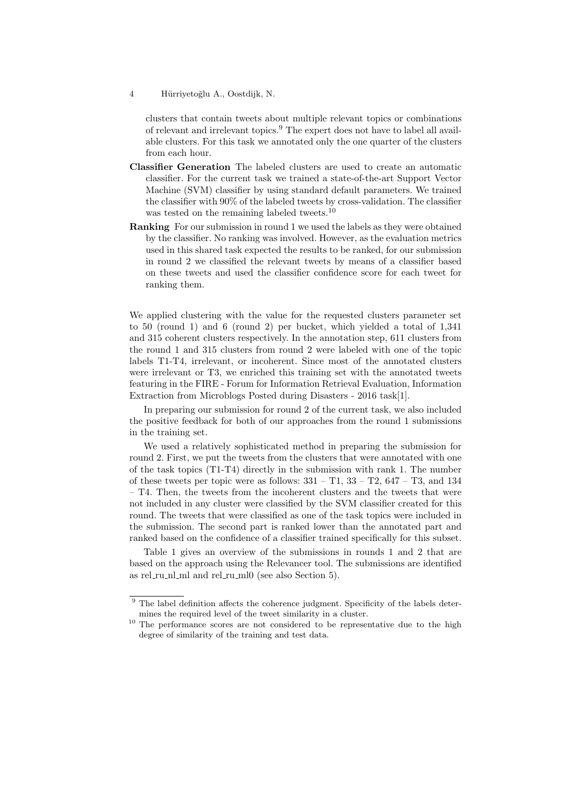clusters that contain tweets about multiple relevant topics or combinations of relevant and irrelevant topics.<sup>9</sup> The expert does not have to label all available clusters. For this task we annotated only the one quarter of the clusters from each hour.

- Classifier Generation The labeled clusters are used to create an automatic classifier. For the current task we trained a state-of-the-art Support Vector Machine (SVM) classifier by using standard default parameters. We trained the classifier with 90% of the labeled tweets by cross-validation. The classifier was tested on the remaining labeled tweets.<sup>10</sup>
- Ranking For our submission in round 1 we used the labels as they were obtained by the classifier. No ranking was involved. However, as the evaluation metrics used in this shared task expected the results to be ranked, for our submission in round 2 we classified the relevant tweets by means of a classifier based on these tweets and used the classifier confidence score for each tweet for ranking them.

We applied clustering with the value for the requested clusters parameter set to 50 (round 1) and 6 (round 2) per bucket, which yielded a total of 1,341 and 315 coherent clusters respectively. In the annotation step, 611 clusters from the round 1 and 315 clusters from round 2 were labeled with one of the topic labels T1-T4, irrelevant, or incoherent. Since most of the annotated clusters were irrelevant or T3, we enriched this training set with the annotated tweets featuring in the FIRE - Forum for Information Retrieval Evaluation, Information Extraction from Microblogs Posted during Disasters - 2016 task[1].

In preparing our submission for round 2 of the current task, we also included the positive feedback for both of our approaches from the round 1 submissions in the training set.

We used a relatively sophisticated method in preparing the submission for round 2. First, we put the tweets from the clusters that were annotated with one of the task topics (T1-T4) directly in the submission with rank 1. The number of these tweets per topic were as follows:  $331 - T1$ ,  $33 - T2$ ,  $647 - T3$ , and  $134$ – T4. Then, the tweets from the incoherent clusters and the tweets that were not included in any cluster were classified by the SVM classifier created for this round. The tweets that were classified as one of the task topics were included in the submission. The second part is ranked lower than the annotated part and ranked based on the confidence of a classifier trained specifically for this subset.

Table 1 gives an overview of the submissions in rounds 1 and 2 that are based on the approach using the Relevancer tool. The submissions are identified as rel\_ru\_nl\_ml and rel\_ru\_ml0 (see also Section 5).

 $9$  The label definition affects the coherence judgment. Specificity of the labels determines the required level of the tweet similarity in a cluster.

<sup>&</sup>lt;sup>10</sup> The performance scores are not considered to be representative due to the high degree of similarity of the training and test data.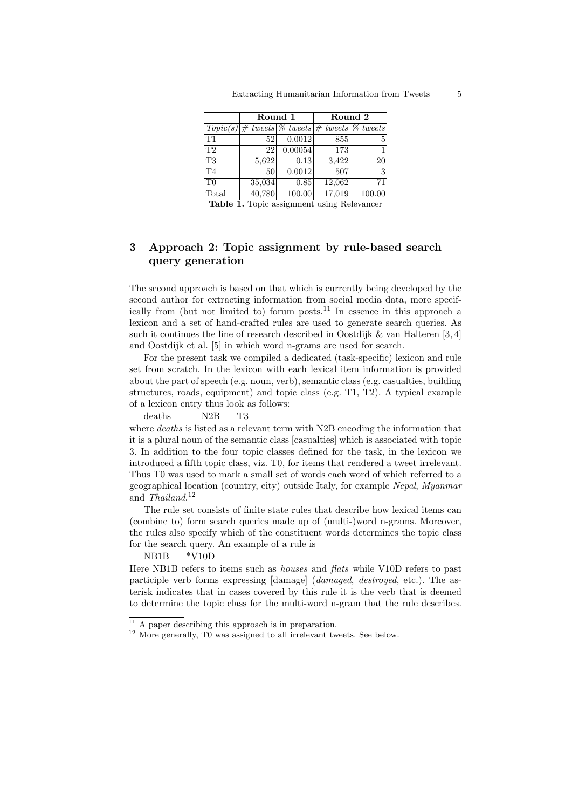|                | Round 1 |         | Round 2                                                                                        |        |
|----------------|---------|---------|------------------------------------------------------------------------------------------------|--------|
|                |         |         | $\text{Topic}(s) \neq \text{ tweets} \, \mathcal{C}$ tweets $\neq$ tweets $\mathcal{C}$ tweets |        |
| T1             | 52      | 0.0012  | 855                                                                                            | 5      |
| T <sub>2</sub> | 22      | 0.00054 | 173                                                                                            | 1      |
| T <sub>3</sub> | 5,622   | 0.13    | 3,422                                                                                          | 20     |
| T <sub>4</sub> | 50      | 0.0012  | 507                                                                                            | 3      |
| T <sub>0</sub> | 35,034  | 0.85    | 12,062                                                                                         | 71     |
| Total          | 40,780  | 100.00  | 17,019                                                                                         | 100.00 |

Table 1. Topic assignment using Relevancer

# 3 Approach 2: Topic assignment by rule-based search query generation

The second approach is based on that which is currently being developed by the second author for extracting information from social media data, more specifically from (but not limited to) forum posts.<sup>11</sup> In essence in this approach a lexicon and a set of hand-crafted rules are used to generate search queries. As such it continues the line of research described in Oostdijk  $\&$  van Halteren [3, 4] and Oostdijk et al. [5] in which word n-grams are used for search.

For the present task we compiled a dedicated (task-specific) lexicon and rule set from scratch. In the lexicon with each lexical item information is provided about the part of speech (e.g. noun, verb), semantic class (e.g. casualties, building structures, roads, equipment) and topic class (e.g. T1, T2). A typical example of a lexicon entry thus look as follows:

## deaths N2B T3

where *deaths* is listed as a relevant term with N2B encoding the information that it is a plural noun of the semantic class [casualties] which is associated with topic 3. In addition to the four topic classes defined for the task, in the lexicon we introduced a fifth topic class, viz. T0, for items that rendered a tweet irrelevant. Thus T0 was used to mark a small set of words each word of which referred to a geographical location (country, city) outside Italy, for example Nepal, Myanmar and Thailand.<sup>12</sup>

The rule set consists of finite state rules that describe how lexical items can (combine to) form search queries made up of (multi-)word n-grams. Moreover, the rules also specify which of the constituent words determines the topic class for the search query. An example of a rule is

# NB1B \*V10D

Here NB1B refers to items such as *houses* and *flats* while V10D refers to past participle verb forms expressing [damage] (damaged, destroyed, etc.). The asterisk indicates that in cases covered by this rule it is the verb that is deemed to determine the topic class for the multi-word n-gram that the rule describes.

<sup>&</sup>lt;sup>11</sup> A paper describing this approach is in preparation.

<sup>&</sup>lt;sup>12</sup> More generally, T0 was assigned to all irrelevant tweets. See below.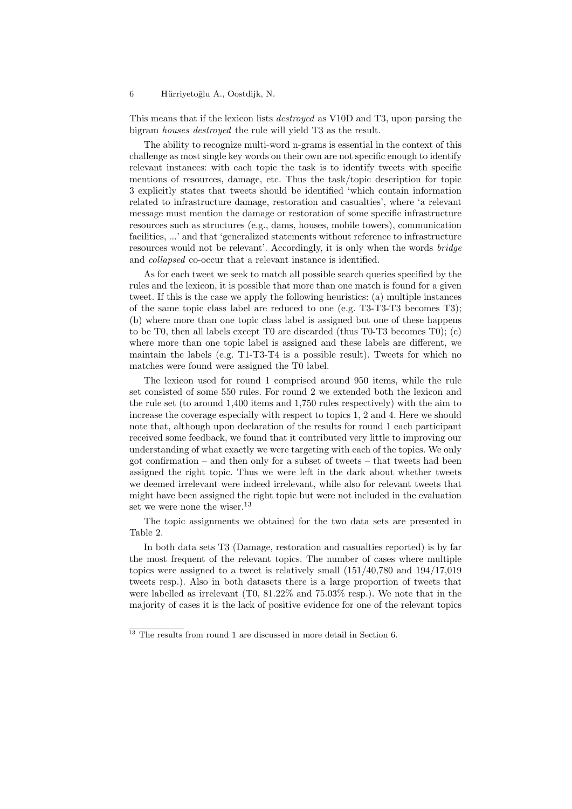This means that if the lexicon lists destroyed as V10D and T3, upon parsing the bigram houses destroyed the rule will yield T3 as the result.

The ability to recognize multi-word n-grams is essential in the context of this challenge as most single key words on their own are not specific enough to identify relevant instances: with each topic the task is to identify tweets with specific mentions of resources, damage, etc. Thus the task/topic description for topic 3 explicitly states that tweets should be identified 'which contain information related to infrastructure damage, restoration and casualties', where 'a relevant message must mention the damage or restoration of some specific infrastructure resources such as structures (e.g., dams, houses, mobile towers), communication facilities, ...' and that 'generalized statements without reference to infrastructure resources would not be relevant'. Accordingly, it is only when the words bridge and collapsed co-occur that a relevant instance is identified.

As for each tweet we seek to match all possible search queries specified by the rules and the lexicon, it is possible that more than one match is found for a given tweet. If this is the case we apply the following heuristics: (a) multiple instances of the same topic class label are reduced to one (e.g. T3-T3-T3 becomes T3); (b) where more than one topic class label is assigned but one of these happens to be T0, then all labels except T0 are discarded (thus T0-T3 becomes T0); (c) where more than one topic label is assigned and these labels are different, we maintain the labels (e.g. T1-T3-T4 is a possible result). Tweets for which no matches were found were assigned the T0 label.

The lexicon used for round 1 comprised around 950 items, while the rule set consisted of some 550 rules. For round 2 we extended both the lexicon and the rule set (to around 1,400 items and 1,750 rules respectively) with the aim to increase the coverage especially with respect to topics 1, 2 and 4. Here we should note that, although upon declaration of the results for round 1 each participant received some feedback, we found that it contributed very little to improving our understanding of what exactly we were targeting with each of the topics. We only got confirmation – and then only for a subset of tweets – that tweets had been assigned the right topic. Thus we were left in the dark about whether tweets we deemed irrelevant were indeed irrelevant, while also for relevant tweets that might have been assigned the right topic but were not included in the evaluation set we were none the wiser.<sup>13</sup>

The topic assignments we obtained for the two data sets are presented in Table 2.

In both data sets T3 (Damage, restoration and casualties reported) is by far the most frequent of the relevant topics. The number of cases where multiple topics were assigned to a tweet is relatively small (151/40,780 and 194/17,019 tweets resp.). Also in both datasets there is a large proportion of tweets that were labelled as irrelevant (T0, 81.22% and 75.03% resp.). We note that in the majority of cases it is the lack of positive evidence for one of the relevant topics

 $^{13}$  The results from round 1 are discussed in more detail in Section 6.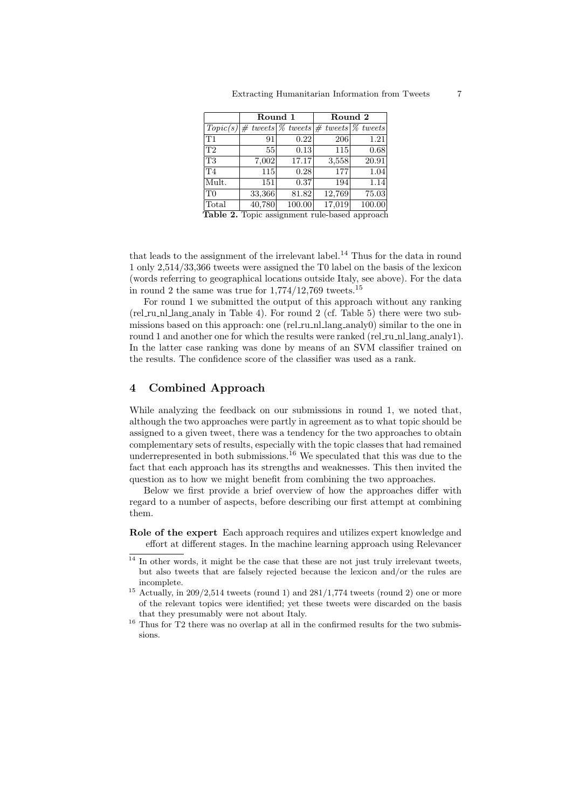|       | Round 1 |                                                                                           | Round 2 |        |
|-------|---------|-------------------------------------------------------------------------------------------|---------|--------|
|       |         | $Topic(s)  \# \text{ tweets}   \% \text{ tweets}   \# \text{ tweets}   \% \text{ tweets}$ |         |        |
| lΤ1   | 91      | 0.22                                                                                      | 206     | 1.21   |
| T2    | 55      | 0.13                                                                                      | 115     | 0.68   |
| T3    | 7,002   | 17.17                                                                                     | 3,558   | 20.91  |
| T4    | 115     | 0.28                                                                                      | 177     | 1.04   |
| Mult. | 151     | 0.37                                                                                      | 194     | 1.14   |
| T0    | 33,366  | 81.82                                                                                     | 12,769  | 75.03  |
| Total | 40,780  | 100.00                                                                                    | 17,019  | 100.00 |

Table 2. Topic assignment rule-based approach

that leads to the assignment of the irrelevant label.<sup>14</sup> Thus for the data in round 1 only 2,514/33,366 tweets were assigned the T0 label on the basis of the lexicon (words referring to geographical locations outside Italy, see above). For the data in round 2 the same was true for  $1,774/12,769$  tweets.<sup>15</sup>

For round 1 we submitted the output of this approach without any ranking (rel ru nl lang analy in Table 4). For round 2 (cf. Table 5) there were two submissions based on this approach: one (rel\_ru\_nl\_lang\_analy0) similar to the one in round 1 and another one for which the results were ranked (rel\_ru\_nl\_lang\_analy1). In the latter case ranking was done by means of an SVM classifier trained on the results. The confidence score of the classifier was used as a rank.

# 4 Combined Approach

While analyzing the feedback on our submissions in round 1, we noted that, although the two approaches were partly in agreement as to what topic should be assigned to a given tweet, there was a tendency for the two approaches to obtain complementary sets of results, especially with the topic classes that had remained underrepresented in both submissions.<sup>16</sup> We speculated that this was due to the fact that each approach has its strengths and weaknesses. This then invited the question as to how we might benefit from combining the two approaches.

Below we first provide a brief overview of how the approaches differ with regard to a number of aspects, before describing our first attempt at combining them.

Role of the expert Each approach requires and utilizes expert knowledge and effort at different stages. In the machine learning approach using Relevancer

 $14$  In other words, it might be the case that these are not just truly irrelevant tweets, but also tweets that are falsely rejected because the lexicon and/or the rules are incomplete.

 $15$  Actually, in 209/2,514 tweets (round 1) and 281/1,774 tweets (round 2) one or more of the relevant topics were identified; yet these tweets were discarded on the basis that they presumably were not about Italy.

 $16$  Thus for T<sub>2</sub> there was no overlap at all in the confirmed results for the two submissions.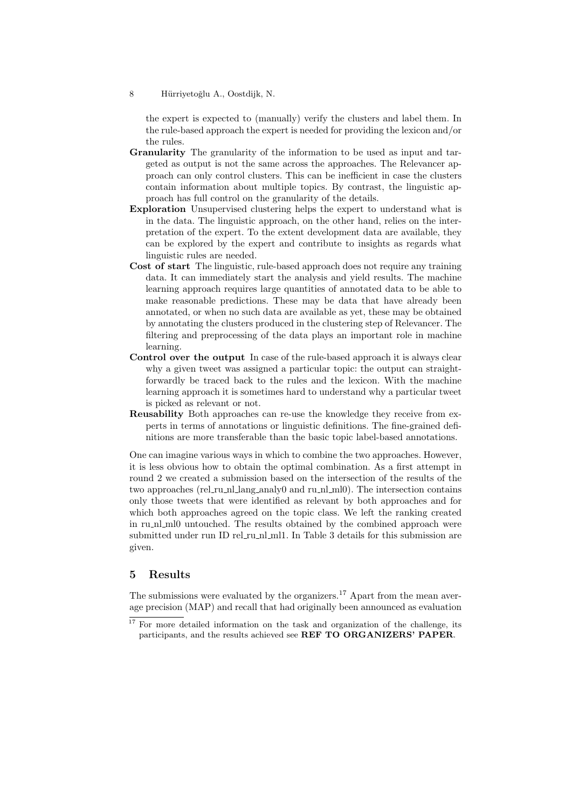the expert is expected to (manually) verify the clusters and label them. In the rule-based approach the expert is needed for providing the lexicon and/or the rules.

- Granularity The granularity of the information to be used as input and targeted as output is not the same across the approaches. The Relevancer approach can only control clusters. This can be inefficient in case the clusters contain information about multiple topics. By contrast, the linguistic approach has full control on the granularity of the details.
- Exploration Unsupervised clustering helps the expert to understand what is in the data. The linguistic approach, on the other hand, relies on the interpretation of the expert. To the extent development data are available, they can be explored by the expert and contribute to insights as regards what linguistic rules are needed.
- Cost of start The linguistic, rule-based approach does not require any training data. It can immediately start the analysis and yield results. The machine learning approach requires large quantities of annotated data to be able to make reasonable predictions. These may be data that have already been annotated, or when no such data are available as yet, these may be obtained by annotating the clusters produced in the clustering step of Relevancer. The filtering and preprocessing of the data plays an important role in machine learning.
- Control over the output In case of the rule-based approach it is always clear why a given tweet was assigned a particular topic: the output can straightforwardly be traced back to the rules and the lexicon. With the machine learning approach it is sometimes hard to understand why a particular tweet is picked as relevant or not.
- Reusability Both approaches can re-use the knowledge they receive from experts in terms of annotations or linguistic definitions. The fine-grained definitions are more transferable than the basic topic label-based annotations.

One can imagine various ways in which to combine the two approaches. However, it is less obvious how to obtain the optimal combination. As a first attempt in round 2 we created a submission based on the intersection of the results of the two approaches (rel ru nl lang analy0 and ru nl ml0). The intersection contains only those tweets that were identified as relevant by both approaches and for which both approaches agreed on the topic class. We left the ranking created in ru nl ml0 untouched. The results obtained by the combined approach were submitted under run ID rel\_ru\_nl\_ml1. In Table 3 details for this submission are given.

# 5 Results

The submissions were evaluated by the organizers.<sup>17</sup> Apart from the mean average precision (MAP) and recall that had originally been announced as evaluation

<sup>8</sup> Hürriyetoğlu A., Oostdijk, N.

<sup>&</sup>lt;sup>17</sup> For more detailed information on the task and organization of the challenge, its participants, and the results achieved see REF TO ORGANIZERS' PAPER.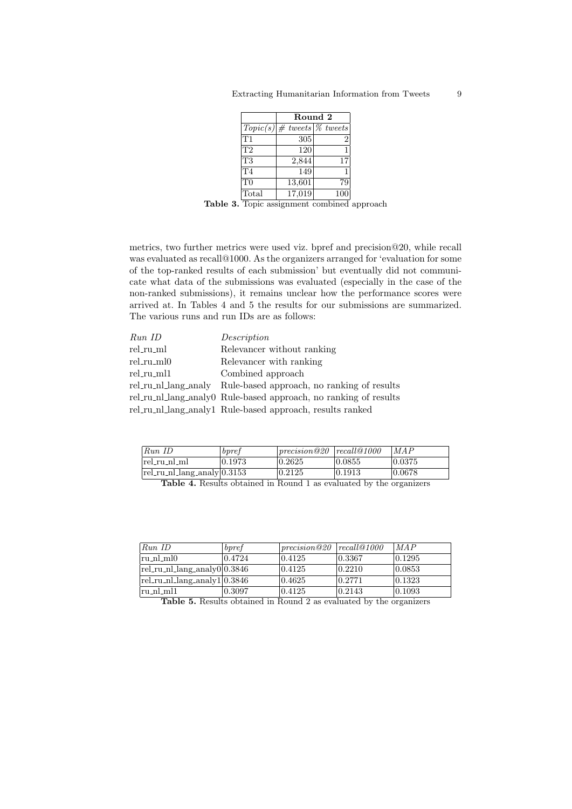|                | Round 2 |                                                     |  |  |
|----------------|---------|-----------------------------------------------------|--|--|
|                |         | $Topic(s)  \# \text{ tweets}   \% \text{ tweets}  $ |  |  |
| T1             | 305     | $\overline{2}$                                      |  |  |
| T <sub>2</sub> | 120     | 1                                                   |  |  |
| <b>T3</b>      | 2,844   | 17                                                  |  |  |
| T <sub>4</sub> | 149     |                                                     |  |  |
| T <sub>0</sub> | 13,601  | 79                                                  |  |  |
| Total          | 17,019  |                                                     |  |  |

Table 3. Topic assignment combined approach

metrics, two further metrics were used viz. bpref and precision@20, while recall was evaluated as recall@1000. As the organizers arranged for 'evaluation for some of the top-ranked results of each submission' but eventually did not communicate what data of the submissions was evaluated (especially in the case of the non-ranked submissions), it remains unclear how the performance scores were arrived at. In Tables 4 and 5 the results for our submissions are summarized. The various runs and run IDs are as follows:

| Run ID     | Description                                                      |
|------------|------------------------------------------------------------------|
| rel_ru_ml  | Relevancer without ranking                                       |
| rel_ru_ml0 | Relevancer with ranking                                          |
| rel_ru_ml1 | Combined approach                                                |
|            | rel_ru_nl_lang_analy Rule-based approach, no ranking of results  |
|            | rel_ru_nl_lang_analy0 Rule-based approach, no ranking of results |
|            | rel_ru_nl_lang_analy1 Rule-based approach, results ranked        |

| RunID                                  | bpret   | precision@20 | recall@1000 | <i>MAP</i> |
|----------------------------------------|---------|--------------|-------------|------------|
| $\lceil \text{rel\_ru\_nl\_ml} \rceil$ | 10.1973 | 0.2625       | 10.0855     | 0.0375     |
| $ rel_r u_n $ lang_analy $ 0.3153 $    |         | 0.2125       | 10.1913     | 10.0678    |

Table 4. Results obtained in Round 1 as evaluated by the organizers

| RunID                                        | bpref  | 1 precision @ 20 | recall@1000 | MAP              |
|----------------------------------------------|--------|------------------|-------------|------------------|
| $\lceil \text{ru} \_ \text{nl} \_ \text{ml}$ | 0.4724 | 0.4125           | 0.3367      | 0.1295           |
| $rel_r u_n$ llang_analy0 $ 0.3846$           |        | 0.4125           | 0.2210      | $ 0.0853\rangle$ |
| $rel_r u_n$ lang_analy1 $ 0.3846$            |        | 10.4625          | 0.2771      | 0.1323           |
| lru_nl_ml1                                   | 0.3097 | 0.4125           | 0.2143      | 0.1093           |

Table 5. Results obtained in Round 2 as evaluated by the organizers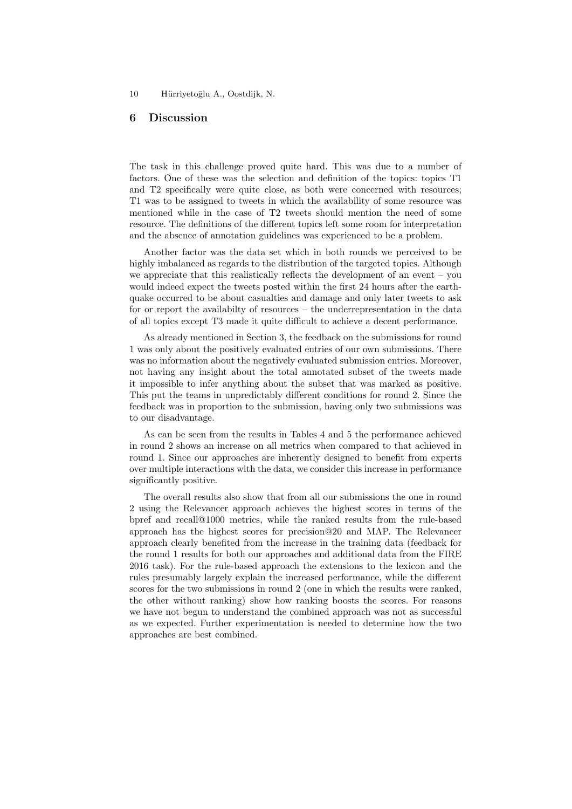# 6 Discussion

The task in this challenge proved quite hard. This was due to a number of factors. One of these was the selection and definition of the topics: topics T1 and T2 specifically were quite close, as both were concerned with resources; T1 was to be assigned to tweets in which the availability of some resource was mentioned while in the case of T2 tweets should mention the need of some resource. The definitions of the different topics left some room for interpretation and the absence of annotation guidelines was experienced to be a problem.

Another factor was the data set which in both rounds we perceived to be highly imbalanced as regards to the distribution of the targeted topics. Although we appreciate that this realistically reflects the development of an event – you would indeed expect the tweets posted within the first 24 hours after the earthquake occurred to be about casualties and damage and only later tweets to ask for or report the availabilty of resources – the underrepresentation in the data of all topics except T3 made it quite difficult to achieve a decent performance.

As already mentioned in Section 3, the feedback on the submissions for round 1 was only about the positively evaluated entries of our own submissions. There was no information about the negatively evaluated submission entries. Moreover, not having any insight about the total annotated subset of the tweets made it impossible to infer anything about the subset that was marked as positive. This put the teams in unpredictably different conditions for round 2. Since the feedback was in proportion to the submission, having only two submissions was to our disadvantage.

As can be seen from the results in Tables 4 and 5 the performance achieved in round 2 shows an increase on all metrics when compared to that achieved in round 1. Since our approaches are inherently designed to benefit from experts over multiple interactions with the data, we consider this increase in performance significantly positive.

The overall results also show that from all our submissions the one in round 2 using the Relevancer approach achieves the highest scores in terms of the bpref and recall@1000 metrics, while the ranked results from the rule-based approach has the highest scores for precision@20 and MAP. The Relevancer approach clearly benefited from the increase in the training data (feedback for the round 1 results for both our approaches and additional data from the FIRE 2016 task). For the rule-based approach the extensions to the lexicon and the rules presumably largely explain the increased performance, while the different scores for the two submissions in round 2 (one in which the results were ranked, the other without ranking) show how ranking boosts the scores. For reasons we have not begun to understand the combined approach was not as successful as we expected. Further experimentation is needed to determine how the two approaches are best combined.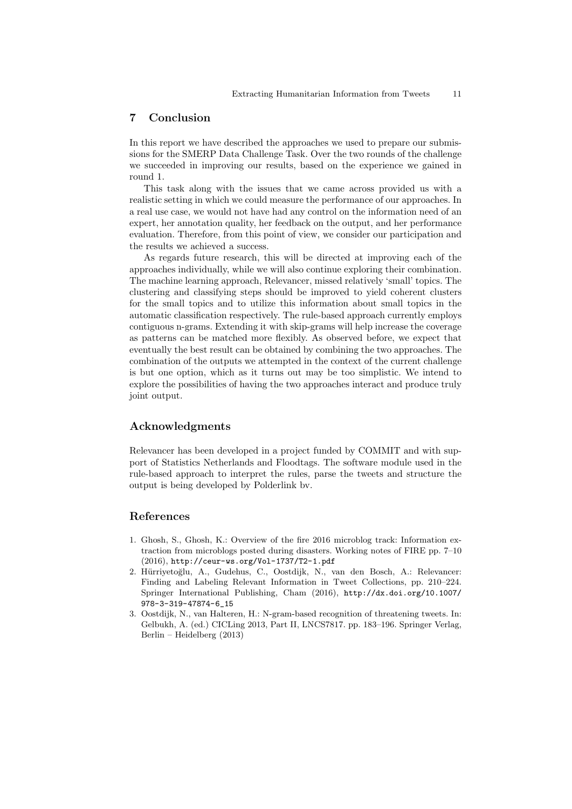## 7 Conclusion

In this report we have described the approaches we used to prepare our submissions for the SMERP Data Challenge Task. Over the two rounds of the challenge we succeeded in improving our results, based on the experience we gained in round 1.

This task along with the issues that we came across provided us with a realistic setting in which we could measure the performance of our approaches. In a real use case, we would not have had any control on the information need of an expert, her annotation quality, her feedback on the output, and her performance evaluation. Therefore, from this point of view, we consider our participation and the results we achieved a success.

As regards future research, this will be directed at improving each of the approaches individually, while we will also continue exploring their combination. The machine learning approach, Relevancer, missed relatively 'small' topics. The clustering and classifying steps should be improved to yield coherent clusters for the small topics and to utilize this information about small topics in the automatic classification respectively. The rule-based approach currently employs contiguous n-grams. Extending it with skip-grams will help increase the coverage as patterns can be matched more flexibly. As observed before, we expect that eventually the best result can be obtained by combining the two approaches. The combination of the outputs we attempted in the context of the current challenge is but one option, which as it turns out may be too simplistic. We intend to explore the possibilities of having the two approaches interact and produce truly joint output.

# Acknowledgments

Relevancer has been developed in a project funded by COMMIT and with support of Statistics Netherlands and Floodtags. The software module used in the rule-based approach to interpret the rules, parse the tweets and structure the output is being developed by Polderlink bv.

# References

- 1. Ghosh, S., Ghosh, K.: Overview of the fire 2016 microblog track: Information extraction from microblogs posted during disasters. Working notes of FIRE pp. 7–10 (2016), http://ceur-ws.org/Vol-1737/T2-1.pdf
- 2. Hürriyetoğlu, A., Gudehus, C., Oostdijk, N., van den Bosch, A.: Relevancer: Finding and Labeling Relevant Information in Tweet Collections, pp. 210–224. Springer International Publishing, Cham (2016), http://dx.doi.org/10.1007/ 978-3-319-47874-6\_15
- 3. Oostdijk, N., van Halteren, H.: N-gram-based recognition of threatening tweets. In: Gelbukh, A. (ed.) CICLing 2013, Part II, LNCS7817. pp. 183–196. Springer Verlag, Berlin – Heidelberg (2013)